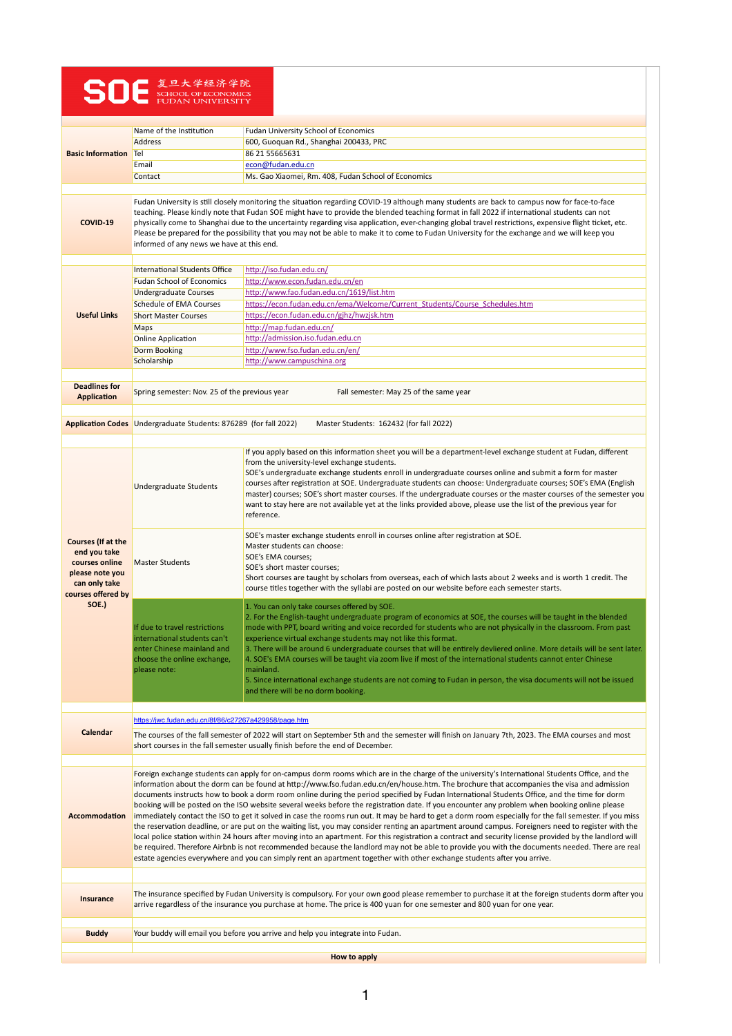## SO - <sup>复旦大学经济学院</sup><br>FUDAN UNIVERSITY

| <b>Basic Information</b>                                                                                                       | Name of the Institution                                                                                                                                                                                                                                                                                                                                                                                                                                                                                                                                                                                                                                                                                                                                                                                                                                                                                                                                                                                                                                                                                                                                                                                                                                                                                                                                  | <b>Fudan University School of Economics</b>                                                                                                                                                                                                                                                                                                                                                                                                                                                                                                                                                                                                                                                                                                                             |  |
|--------------------------------------------------------------------------------------------------------------------------------|----------------------------------------------------------------------------------------------------------------------------------------------------------------------------------------------------------------------------------------------------------------------------------------------------------------------------------------------------------------------------------------------------------------------------------------------------------------------------------------------------------------------------------------------------------------------------------------------------------------------------------------------------------------------------------------------------------------------------------------------------------------------------------------------------------------------------------------------------------------------------------------------------------------------------------------------------------------------------------------------------------------------------------------------------------------------------------------------------------------------------------------------------------------------------------------------------------------------------------------------------------------------------------------------------------------------------------------------------------|-------------------------------------------------------------------------------------------------------------------------------------------------------------------------------------------------------------------------------------------------------------------------------------------------------------------------------------------------------------------------------------------------------------------------------------------------------------------------------------------------------------------------------------------------------------------------------------------------------------------------------------------------------------------------------------------------------------------------------------------------------------------------|--|
|                                                                                                                                | Address                                                                                                                                                                                                                                                                                                                                                                                                                                                                                                                                                                                                                                                                                                                                                                                                                                                                                                                                                                                                                                                                                                                                                                                                                                                                                                                                                  | 600, Guoquan Rd., Shanghai 200433, PRC                                                                                                                                                                                                                                                                                                                                                                                                                                                                                                                                                                                                                                                                                                                                  |  |
|                                                                                                                                | Te                                                                                                                                                                                                                                                                                                                                                                                                                                                                                                                                                                                                                                                                                                                                                                                                                                                                                                                                                                                                                                                                                                                                                                                                                                                                                                                                                       | 86 21 55 66 56 31                                                                                                                                                                                                                                                                                                                                                                                                                                                                                                                                                                                                                                                                                                                                                       |  |
|                                                                                                                                | Email                                                                                                                                                                                                                                                                                                                                                                                                                                                                                                                                                                                                                                                                                                                                                                                                                                                                                                                                                                                                                                                                                                                                                                                                                                                                                                                                                    | econ@fudan.edu.cn                                                                                                                                                                                                                                                                                                                                                                                                                                                                                                                                                                                                                                                                                                                                                       |  |
|                                                                                                                                | Contact                                                                                                                                                                                                                                                                                                                                                                                                                                                                                                                                                                                                                                                                                                                                                                                                                                                                                                                                                                                                                                                                                                                                                                                                                                                                                                                                                  | Ms. Gao Xiaomei, Rm. 408, Fudan School of Economics                                                                                                                                                                                                                                                                                                                                                                                                                                                                                                                                                                                                                                                                                                                     |  |
| <b>COVID-19</b>                                                                                                                | Fudan University is still closely monitoring the situation regarding COVID-19 although many students are back to campus now for face-to-face<br>teaching. Please kindly note that Fudan SOE might have to provide the blended teaching format in fall 2022 if international students can not<br>physically come to Shanghai due to the uncertainty regarding visa application, ever-changing global travel restrictions, expensive flight ticket, etc.<br>Please be prepared for the possibility that you may not be able to make it to come to Fudan University for the exchange and we will keep you<br>informed of any news we have at this end.                                                                                                                                                                                                                                                                                                                                                                                                                                                                                                                                                                                                                                                                                                      |                                                                                                                                                                                                                                                                                                                                                                                                                                                                                                                                                                                                                                                                                                                                                                         |  |
|                                                                                                                                |                                                                                                                                                                                                                                                                                                                                                                                                                                                                                                                                                                                                                                                                                                                                                                                                                                                                                                                                                                                                                                                                                                                                                                                                                                                                                                                                                          |                                                                                                                                                                                                                                                                                                                                                                                                                                                                                                                                                                                                                                                                                                                                                                         |  |
|                                                                                                                                | <b>International Students Office</b>                                                                                                                                                                                                                                                                                                                                                                                                                                                                                                                                                                                                                                                                                                                                                                                                                                                                                                                                                                                                                                                                                                                                                                                                                                                                                                                     | http://iso.fudan.edu.cn/                                                                                                                                                                                                                                                                                                                                                                                                                                                                                                                                                                                                                                                                                                                                                |  |
|                                                                                                                                | <b>Fudan School of Economics</b>                                                                                                                                                                                                                                                                                                                                                                                                                                                                                                                                                                                                                                                                                                                                                                                                                                                                                                                                                                                                                                                                                                                                                                                                                                                                                                                         | http://www.econ.fudan.edu.cn/en                                                                                                                                                                                                                                                                                                                                                                                                                                                                                                                                                                                                                                                                                                                                         |  |
|                                                                                                                                | <b>Undergraduate Courses</b>                                                                                                                                                                                                                                                                                                                                                                                                                                                                                                                                                                                                                                                                                                                                                                                                                                                                                                                                                                                                                                                                                                                                                                                                                                                                                                                             | http://www.fao.fudan.edu.cn/1619/list.htm                                                                                                                                                                                                                                                                                                                                                                                                                                                                                                                                                                                                                                                                                                                               |  |
| <b>Useful Links</b>                                                                                                            | <b>Schedule of EMA Courses</b>                                                                                                                                                                                                                                                                                                                                                                                                                                                                                                                                                                                                                                                                                                                                                                                                                                                                                                                                                                                                                                                                                                                                                                                                                                                                                                                           | https://econ.fudan.edu.cn/ema/Welcome/Current_Students/Course_Schedules.htm                                                                                                                                                                                                                                                                                                                                                                                                                                                                                                                                                                                                                                                                                             |  |
|                                                                                                                                | <b>Short Master Courses</b>                                                                                                                                                                                                                                                                                                                                                                                                                                                                                                                                                                                                                                                                                                                                                                                                                                                                                                                                                                                                                                                                                                                                                                                                                                                                                                                              | https://econ.fudan.edu.cn/gjhz/hwzjsk.htm                                                                                                                                                                                                                                                                                                                                                                                                                                                                                                                                                                                                                                                                                                                               |  |
|                                                                                                                                | Maps                                                                                                                                                                                                                                                                                                                                                                                                                                                                                                                                                                                                                                                                                                                                                                                                                                                                                                                                                                                                                                                                                                                                                                                                                                                                                                                                                     | http://map.fudan.edu.cn/                                                                                                                                                                                                                                                                                                                                                                                                                                                                                                                                                                                                                                                                                                                                                |  |
|                                                                                                                                | <b>Online Application</b>                                                                                                                                                                                                                                                                                                                                                                                                                                                                                                                                                                                                                                                                                                                                                                                                                                                                                                                                                                                                                                                                                                                                                                                                                                                                                                                                | http://admission.iso.fudan.edu.cn                                                                                                                                                                                                                                                                                                                                                                                                                                                                                                                                                                                                                                                                                                                                       |  |
|                                                                                                                                | Dorm Booking                                                                                                                                                                                                                                                                                                                                                                                                                                                                                                                                                                                                                                                                                                                                                                                                                                                                                                                                                                                                                                                                                                                                                                                                                                                                                                                                             | http://www.fso.fudan.edu.cn/en/                                                                                                                                                                                                                                                                                                                                                                                                                                                                                                                                                                                                                                                                                                                                         |  |
|                                                                                                                                | Scholarship                                                                                                                                                                                                                                                                                                                                                                                                                                                                                                                                                                                                                                                                                                                                                                                                                                                                                                                                                                                                                                                                                                                                                                                                                                                                                                                                              | http://www.campuschina.org                                                                                                                                                                                                                                                                                                                                                                                                                                                                                                                                                                                                                                                                                                                                              |  |
|                                                                                                                                |                                                                                                                                                                                                                                                                                                                                                                                                                                                                                                                                                                                                                                                                                                                                                                                                                                                                                                                                                                                                                                                                                                                                                                                                                                                                                                                                                          |                                                                                                                                                                                                                                                                                                                                                                                                                                                                                                                                                                                                                                                                                                                                                                         |  |
|                                                                                                                                |                                                                                                                                                                                                                                                                                                                                                                                                                                                                                                                                                                                                                                                                                                                                                                                                                                                                                                                                                                                                                                                                                                                                                                                                                                                                                                                                                          |                                                                                                                                                                                                                                                                                                                                                                                                                                                                                                                                                                                                                                                                                                                                                                         |  |
| <b>Deadlines for</b>                                                                                                           | Spring semester: Nov. 25 of the previous year<br>Fall semester: May 25 of the same year                                                                                                                                                                                                                                                                                                                                                                                                                                                                                                                                                                                                                                                                                                                                                                                                                                                                                                                                                                                                                                                                                                                                                                                                                                                                  |                                                                                                                                                                                                                                                                                                                                                                                                                                                                                                                                                                                                                                                                                                                                                                         |  |
| <b>Application</b>                                                                                                             |                                                                                                                                                                                                                                                                                                                                                                                                                                                                                                                                                                                                                                                                                                                                                                                                                                                                                                                                                                                                                                                                                                                                                                                                                                                                                                                                                          |                                                                                                                                                                                                                                                                                                                                                                                                                                                                                                                                                                                                                                                                                                                                                                         |  |
|                                                                                                                                |                                                                                                                                                                                                                                                                                                                                                                                                                                                                                                                                                                                                                                                                                                                                                                                                                                                                                                                                                                                                                                                                                                                                                                                                                                                                                                                                                          |                                                                                                                                                                                                                                                                                                                                                                                                                                                                                                                                                                                                                                                                                                                                                                         |  |
|                                                                                                                                | Application Codes   Undergraduate Students: 876289 (for fall 2022)<br>Master Students: 162432 (for fall 2022)                                                                                                                                                                                                                                                                                                                                                                                                                                                                                                                                                                                                                                                                                                                                                                                                                                                                                                                                                                                                                                                                                                                                                                                                                                            |                                                                                                                                                                                                                                                                                                                                                                                                                                                                                                                                                                                                                                                                                                                                                                         |  |
|                                                                                                                                |                                                                                                                                                                                                                                                                                                                                                                                                                                                                                                                                                                                                                                                                                                                                                                                                                                                                                                                                                                                                                                                                                                                                                                                                                                                                                                                                                          |                                                                                                                                                                                                                                                                                                                                                                                                                                                                                                                                                                                                                                                                                                                                                                         |  |
| <b>Courses (If at the</b><br>end you take<br>courses online<br>please note you<br>can only take<br>courses offered by<br>SOE.) | Undergraduate Students                                                                                                                                                                                                                                                                                                                                                                                                                                                                                                                                                                                                                                                                                                                                                                                                                                                                                                                                                                                                                                                                                                                                                                                                                                                                                                                                   | If you apply based on this information sheet you will be a department-level exchange student at Fudan, different<br>from the university-level exchange students.<br>SOE's undergraduate exchange students enroll in undergraduate courses online and submit a form for master<br>courses after registration at SOE. Undergraduate students can choose: Undergraduate courses; SOE's EMA (English<br>master) courses; SOE's short master courses. If the undergraduate courses or the master courses of the semester you<br>want to stay here are not available yet at the links provided above, please use the list of the previous year for<br>reference.                                                                                                              |  |
|                                                                                                                                | <b>Master Students</b>                                                                                                                                                                                                                                                                                                                                                                                                                                                                                                                                                                                                                                                                                                                                                                                                                                                                                                                                                                                                                                                                                                                                                                                                                                                                                                                                   | SOE's master exchange students enroll in courses online after registration at SOE.<br>Master students can choose:<br>SOE's EMA courses;<br>SOE's short master courses;<br>Short courses are taught by scholars from overseas, each of which lasts about 2 weeks and is worth 1 credit. The<br>course titles together with the syllabi are posted on our website before each semester starts.                                                                                                                                                                                                                                                                                                                                                                            |  |
|                                                                                                                                | If due to travel restrictions<br>international students can't<br>enter Chinese mainland and<br>choose the online exchange,<br>please note:                                                                                                                                                                                                                                                                                                                                                                                                                                                                                                                                                                                                                                                                                                                                                                                                                                                                                                                                                                                                                                                                                                                                                                                                               | 1. You can only take courses offered by SOE.<br>2. For the English-taught undergraduate program of economics at SOE, the courses will be taught in the blended<br>mode with PPT, board writing and voice recorded for students who are not physically in the classroom. From past<br>experience virtual exchange students may not like this format.<br>3. There will be around 6 undergraduate courses that will be entirely devliered online. More details will be sent later.<br>4. SOE's EMA courses will be taught via zoom live if most of the international students cannot enter Chinese<br>mainland.<br>5. Since international exchange students are not coming to Fudan in person, the visa documents will not be issued<br>and there will be no dorm booking. |  |
|                                                                                                                                |                                                                                                                                                                                                                                                                                                                                                                                                                                                                                                                                                                                                                                                                                                                                                                                                                                                                                                                                                                                                                                                                                                                                                                                                                                                                                                                                                          |                                                                                                                                                                                                                                                                                                                                                                                                                                                                                                                                                                                                                                                                                                                                                                         |  |
| <b>Calendar</b>                                                                                                                | https://jwc.fudan.edu.cn/8f/86/c27267a429958/page.htm                                                                                                                                                                                                                                                                                                                                                                                                                                                                                                                                                                                                                                                                                                                                                                                                                                                                                                                                                                                                                                                                                                                                                                                                                                                                                                    |                                                                                                                                                                                                                                                                                                                                                                                                                                                                                                                                                                                                                                                                                                                                                                         |  |
|                                                                                                                                | The courses of the fall semester of 2022 will start on September 5th and the semester will finish on January 7th, 2023. The EMA courses and most<br>short courses in the fall semester usually finish before the end of December.                                                                                                                                                                                                                                                                                                                                                                                                                                                                                                                                                                                                                                                                                                                                                                                                                                                                                                                                                                                                                                                                                                                        |                                                                                                                                                                                                                                                                                                                                                                                                                                                                                                                                                                                                                                                                                                                                                                         |  |
| <b>Accommodation</b>                                                                                                           | Foreign exchange students can apply for on-campus dorm rooms which are in the charge of the university's International Students Office, and the<br>information about the dorm can be found at http://www.fso.fudan.edu.cn/en/house.htm. The brochure that accompanies the visa and admission<br>documents instructs how to book a dorm room online during the period specified by Fudan International Students Office, and the time for dorm<br>booking will be posted on the ISO website several weeks before the registration date. If you encounter any problem when booking online please<br>immediately contact the ISO to get it solved in case the rooms run out. It may be hard to get a dorm room especially for the fall semester. If you miss<br>the reservation deadline, or are put on the waiting list, you may consider renting an apartment around campus. Foreigners need to register with the<br>local police station within 24 hours after moving into an apartment. For this registration a contract and security license provided by the landlord will<br>be required. Therefore Airbnb is not recommended because the landlord may not be able to provide you with the documents needed. There are real<br>estate agencies everywhere and you can simply rent an apartment together with other exchange students after you arrive. |                                                                                                                                                                                                                                                                                                                                                                                                                                                                                                                                                                                                                                                                                                                                                                         |  |
| <b>Insurance</b>                                                                                                               | The insurance specified by Fudan University is compulsory. For your own good please remember to purchase it at the foreign students dorm after you<br>arrive regardless of the insurance you purchase at home. The price is 400 yuan for one semester and 800 yuan for one year.                                                                                                                                                                                                                                                                                                                                                                                                                                                                                                                                                                                                                                                                                                                                                                                                                                                                                                                                                                                                                                                                         |                                                                                                                                                                                                                                                                                                                                                                                                                                                                                                                                                                                                                                                                                                                                                                         |  |
|                                                                                                                                |                                                                                                                                                                                                                                                                                                                                                                                                                                                                                                                                                                                                                                                                                                                                                                                                                                                                                                                                                                                                                                                                                                                                                                                                                                                                                                                                                          |                                                                                                                                                                                                                                                                                                                                                                                                                                                                                                                                                                                                                                                                                                                                                                         |  |
| Your buddy will email you before you arrive and help you integrate into Fudan.<br><b>Buddy</b>                                 |                                                                                                                                                                                                                                                                                                                                                                                                                                                                                                                                                                                                                                                                                                                                                                                                                                                                                                                                                                                                                                                                                                                                                                                                                                                                                                                                                          |                                                                                                                                                                                                                                                                                                                                                                                                                                                                                                                                                                                                                                                                                                                                                                         |  |
|                                                                                                                                |                                                                                                                                                                                                                                                                                                                                                                                                                                                                                                                                                                                                                                                                                                                                                                                                                                                                                                                                                                                                                                                                                                                                                                                                                                                                                                                                                          |                                                                                                                                                                                                                                                                                                                                                                                                                                                                                                                                                                                                                                                                                                                                                                         |  |
| <b>How to apply</b>                                                                                                            |                                                                                                                                                                                                                                                                                                                                                                                                                                                                                                                                                                                                                                                                                                                                                                                                                                                                                                                                                                                                                                                                                                                                                                                                                                                                                                                                                          |                                                                                                                                                                                                                                                                                                                                                                                                                                                                                                                                                                                                                                                                                                                                                                         |  |

 $\mathbf{1}$